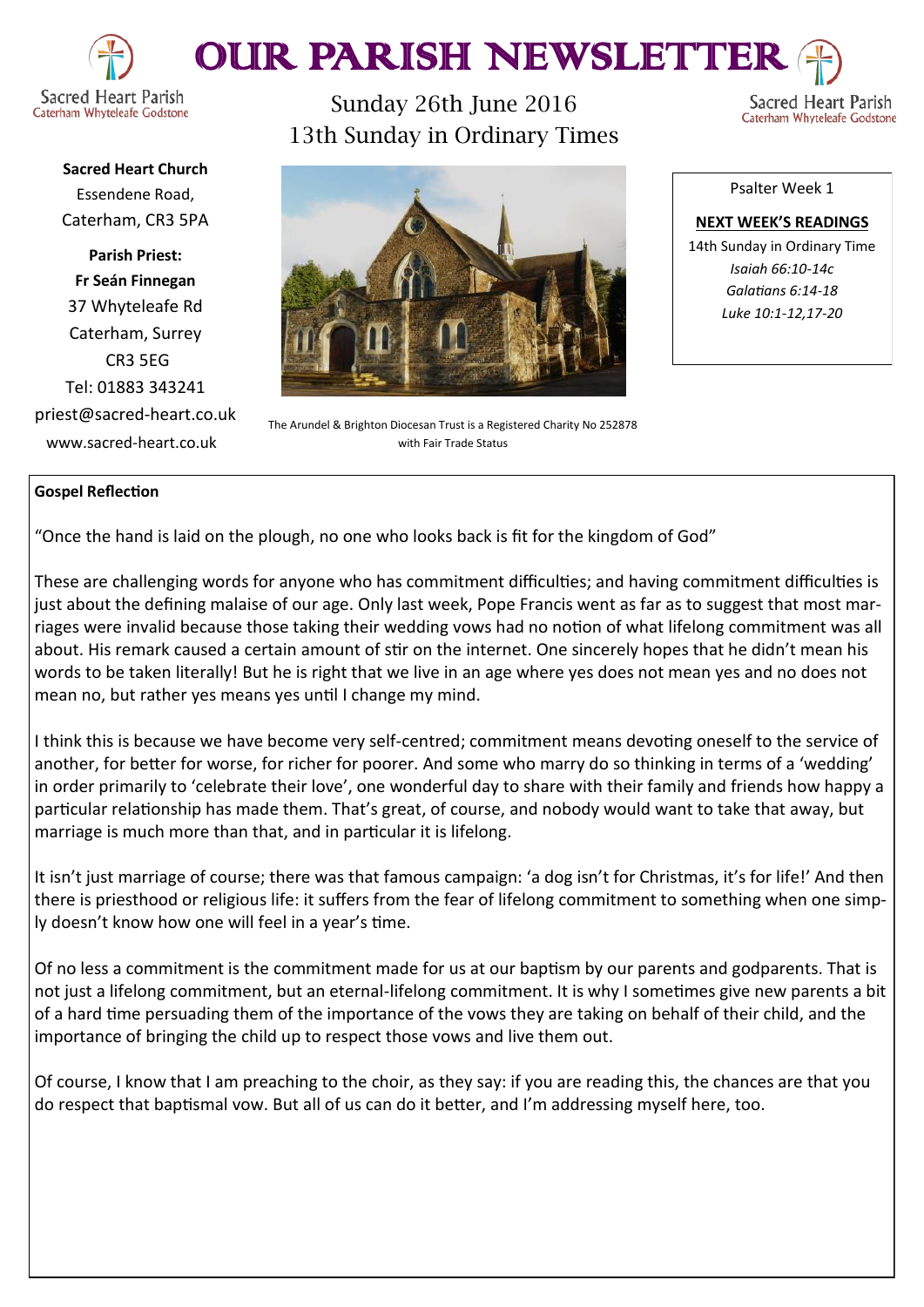

# OUR PARISH NEWSLETTE

Caterham Whyteleafe Godstone

Sacred Heart Parish Caterham Whyteleafe Godstone

**Sacred Heart Church** Essendene Road, Caterham, CR3 5PA

**Parish Priest: Fr Seán Finnegan** 37 Whyteleafe Rd Caterham, Surrey CR3 5EG Tel: 01883 343241 priest@sacred-heart.co.uk www.sacred-heart.co.uk

Sunday 26th June 2016 13th Sunday in Ordinary Times



The Arundel & Brighton Diocesan Trust is a Registered Charity No 252878 with Fair Trade Status

Psalter Week 1

**NEXT WEEK'S READINGS** 14th Sunday in Ordinary Time *Isaiah 66:10-14c Galatians 6:14-18 Luke 10:1-12,17-20*

### **Gospel Reflection**

"Once the hand is laid on the plough, no one who looks back is fit for the kingdom of God"

These are challenging words for anyone who has commitment difficulties; and having commitment difficulties is just about the defining malaise of our age. Only last week, Pope Francis went as far as to suggest that most marriages were invalid because those taking their wedding vows had no notion of what lifelong commitment was all about. His remark caused a certain amount of stir on the internet. One sincerely hopes that he didn't mean his words to be taken literally! But he is right that we live in an age where yes does not mean yes and no does not mean no, but rather yes means yes until I change my mind.

I think this is because we have become very self-centred; commitment means devoting oneself to the service of another, for better for worse, for richer for poorer. And some who marry do so thinking in terms of a 'wedding' in order primarily to 'celebrate their love', one wonderful day to share with their family and friends how happy a particular relationship has made them. That's great, of course, and nobody would want to take that away, but marriage is much more than that, and in particular it is lifelong.

It isn't just marriage of course; there was that famous campaign: 'a dog isn't for Christmas, it's for life!' And then there is priesthood or religious life: it suffers from the fear of lifelong commitment to something when one simply doesn't know how one will feel in a year's time.

Of no less a commitment is the commitment made for us at our baptism by our parents and godparents. That is not just a lifelong commitment, but an eternal-lifelong commitment. It is why I sometimes give new parents a bit of a hard time persuading them of the importance of the vows they are taking on behalf of their child, and the importance of bringing the child up to respect those vows and live them out.

Of course, I know that I am preaching to the choir, as they say: if you are reading this, the chances are that you do respect that baptismal vow. But all of us can do it better, and I'm addressing myself here, too.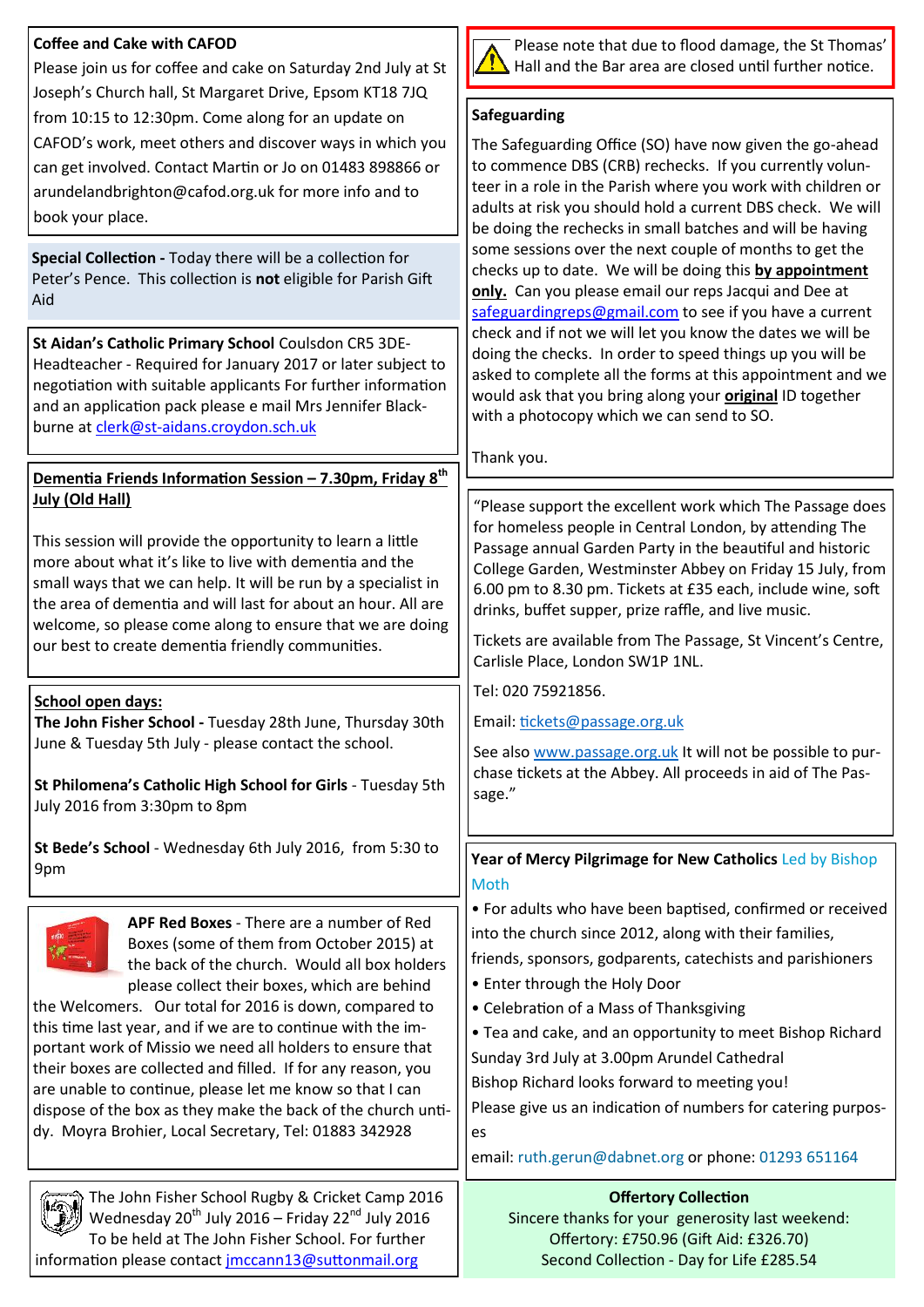## **Coffee and Cake with CAFOD**

Please join us for coffee and cake on Saturday 2nd July at St Joseph's Church hall, St Margaret Drive, Epsom KT18 7JQ from 10:15 to 12:30pm. Come along for an update on CAFOD's work, meet others and discover ways in which you can get involved. Contact Martin or Jo on 01483 898866 or arundelandbrighton@cafod.org.uk for more info and to book your place.

**Special Collection -** Today there will be a collection for Peter's Pence. This collection is **not** eligible for Parish Gift Aid

**St Aidan's Catholic Primary School** Coulsdon CR5 3DE-Headteacher - Required for January 2017 or later subject to negotiation with suitable applicants For further information and an application pack please e mail Mrs Jennifer Blackburne at clerk@st-[aidans.croydon.sch.uk](mailto:clerk@st-aidans.croydon.sch.uk)

#### **Dementia Friends Information Session – 7.30pm, Friday 8th July (Old Hall)**

This session will provide the opportunity to learn a little more about what it's like to live with dementia and the small ways that we can help. It will be run by a specialist in the area of dementia and will last for about an hour. All are welcome, so please come along to ensure that we are doing our best to create dementia friendly communities.

### **School open days:**

**The John Fisher School -** Tuesday 28th June, Thursday 30th June & Tuesday 5th July - please contact the school.

**St Philomena's Catholic High School for Girls** - Tuesday 5th July 2016 from 3:30pm to 8pm

**St Bede's School** - Wednesday 6th July 2016, from 5:30 to 9pm



**APF Red Boxes** - There are a number of Red Boxes (some of them from October 2015) at the back of the church. Would all box holders

please collect their boxes, which are behind the Welcomers. Our total for 2016 is down, compared to this time last year, and if we are to continue with the important work of Missio we need all holders to ensure that their boxes are collected and filled. If for any reason, you are unable to continue, please let me know so that I can dispose of the box as they make the back of the church untidy. Moyra Brohier, Local Secretary, Tel: 01883 342928



Please note that due to flood damage, the St Thomas' Hall and the Bar area are closed until further notice.

#### **Safeguarding**

The Safeguarding Office (SO) have now given the go-ahead to commence DBS (CRB) rechecks. If you currently volunteer in a role in the Parish where you work with children or adults at risk you should hold a current DBS check. We will be doing the rechecks in small batches and will be having some sessions over the next couple of months to get the checks up to date. We will be doing this **by appointment only.** Can you please email our reps Jacqui and Dee at [safeguardingreps@gmail.com](mailto:safeguardingreps@gmail.com) to see if you have a current check and if not we will let you know the dates we will be doing the checks. In order to speed things up you will be asked to complete all the forms at this appointment and we would ask that you bring along your **original** ID together with a photocopy which we can send to SO.

Thank you.

"Please support the excellent work which The Passage does for homeless people in Central London, by attending The Passage annual Garden Party in the beautiful and historic College Garden, Westminster Abbey on Friday 15 July, from 6.00 pm to 8.30 pm. Tickets at £35 each, include wine, soft drinks, buffet supper, prize raffle, and live music.

Tickets are available from The Passage, St Vincent's Centre, Carlisle Place, London SW1P 1NL.

Tel: 020 75921856.

Email: [tickets@passage.org.uk](mailto:tickets@passage.org.uk)

See also [www.passage.org.uk](http://www.passage.org.uk/) It will not be possible to purchase tickets at the Abbey. All proceeds in aid of The Passage."

**Year of Mercy Pilgrimage for New Catholics** Led by Bishop Moth

• For adults who have been baptised, confirmed or received into the church since 2012, along with their families, friends, sponsors, godparents, catechists and parishioners

- Enter through the Holy Door
- Celebration of a Mass of Thanksgiving
- Tea and cake, and an opportunity to meet Bishop Richard

Sunday 3rd July at 3.00pm Arundel Cathedral

Bishop Richard looks forward to meeting you!

Please give us an indication of numbers for catering purposes

email: ruth.gerun@dabnet.org or phone: 01293 651164

# **Offertory Collection**

The John Fisher School Rugby & Cricket Camp 2016 Wednesday  $20^{th}$  July 2016 – Friday  $22^{nd}$  July 2016 To be held at The John Fisher School. For further information please contact [jmccann13@suttonmail.org](mailto:jmccann13@suttonmail.org)

Sincere thanks for your generosity last weekend: Offertory: £750.96 (Gift Aid: £326.70) Second Collection - Day for Life £285.54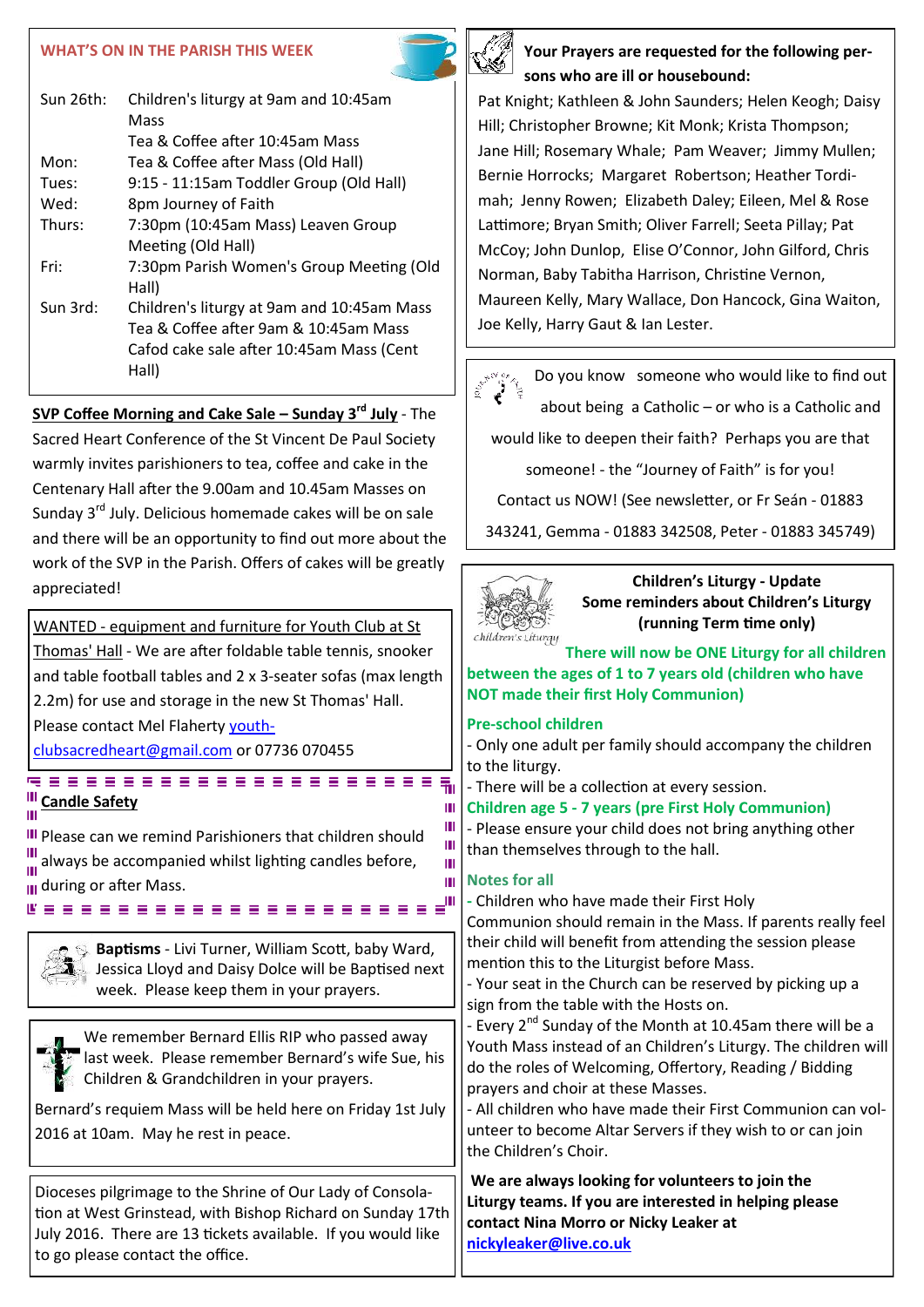#### **WHAT'S ON IN THE PARISH THIS WEEK**

| $Sun$ 26th: | Children's liturgy at 9am and 10:45am<br>Mass     |
|-------------|---------------------------------------------------|
|             | Tea & Coffee after 10:45am Mass                   |
| Mon:        | Tea & Coffee after Mass (Old Hall)                |
| Tues:       | 9:15 - 11:15am Toddler Group (Old Hall)           |
| Wed:        | 8pm Journey of Faith                              |
| Thurs:      | 7:30pm (10:45am Mass) Leaven Group                |
|             | Meeting (Old Hall)                                |
| Fri:        | 7:30pm Parish Women's Group Meeting (Old<br>Hall) |
| Sun 3rd:    | Children's liturgy at 9am and 10:45am Mass        |
|             | Tea & Coffee after 9am & 10:45am Mass             |
|             | Cafod cake sale after 10:45am Mass (Cent<br>Hall) |

**SVP Coffee Morning and Cake Sale – Sunday 3rd July** - The Sacred Heart Conference of the St Vincent De Paul Society warmly invites parishioners to tea, coffee and cake in the Centenary Hall after the 9.00am and 10.45am Masses on Sunday 3<sup>rd</sup> July. Delicious homemade cakes will be on sale and there will be an opportunity to find out more about the work of the SVP in the Parish. Offers of cakes will be greatly appreciated!

WANTED - equipment and furniture for Youth Club at St Thomas' Hall - We are after foldable table tennis, snooker and table football tables and 2 x 3-seater sofas (max length 2.2m) for use and storage in the new St Thomas' Hall. Please contact Mel Flaherty [youth-](mailto:youthclubsacredheart@gmail.com)

[clubsacredheart@gmail.com](mailto:youthclubsacredheart@gmail.com) or 07736 070455

# **Candle Safety** Ш

**III** Please can we remind Parishioners that children should  $\frac{1}{111}$  always be accompanied whilst lighting candles before,  $\mathbf{u}_1$  during or after Mass.<br>  $\mathbf{E} \equiv \mathbf{E} \equiv \mathbf{E} \equiv \mathbf{E} \equiv \mathbf{E} \equiv \mathbf{E} \equiv \mathbf{E} \equiv \mathbf{E} \equiv \mathbf{E} \equiv \mathbf{E} \equiv \mathbf{E} \equiv \mathbf{E} \equiv \mathbf{E} \equiv \mathbf{E} \equiv \mathbf{E} \equiv \mathbf{E} \equiv \mathbf{E} \equiv \mathbf{E} \equiv \mathbf{E} \equiv \mathbf{E} \equiv \mathbf{E} \equiv \mathbf{E} \equiv \mathbf{E} \equiv \mathbf$ 

> **Baptisms** - Livi Turner, William Scott, baby Ward, Jessica Lloyd and Daisy Dolce will be Baptised next week. Please keep them in your prayers.

We remember Bernard Ellis RIP who passed away last week. Please remember Bernard's wife Sue, his Children & Grandchildren in your prayers.

Bernard's requiem Mass will be held here on Friday 1st July 2016 at 10am. May he rest in peace.

Dioceses pilgrimage to the Shrine of Our Lady of Consolation at West Grinstead, with Bishop Richard on Sunday 17th July 2016. There are 13 tickets available. If you would like to go please contact the office.



Pat Knight; Kathleen & John Saunders; Helen Keogh; Daisy Hill; Christopher Browne; Kit Monk; Krista Thompson; Jane Hill; Rosemary Whale; Pam Weaver; Jimmy Mullen; Bernie Horrocks; Margaret Robertson; Heather Tordimah; Jenny Rowen; Elizabeth Daley; Eileen, Mel & Rose Lattimore; Bryan Smith; Oliver Farrell; Seeta Pillay; Pat McCoy; John Dunlop, Elise O'Connor, John Gilford, Chris Norman, Baby Tabitha Harrison, Christine Vernon, Maureen Kelly, Mary Wallace, Don Hancock, Gina Waiton, Joe Kelly, Harry Gaut & Ian Lester.

Do you know someone who would like to find out about being a Catholic – or who is a Catholic and would like to deepen their faith? Perhaps you are that

someone! - the "Journey of Faith" is for you!

Contact us NOW! (See newsletter, or Fr Seán - 01883

343241, Gemma - 01883 342508, Peter - 01883 345749)



**Children's Liturgy - Update Some reminders about Children's Liturgy (running Term time only)**

**There will now be ONE Liturgy for all children between the ages of 1 to 7 years old (children who have NOT made their first Holy Communion)**

# **Pre-school children**

- Only one adult per family should accompany the children to the liturgy.

- There will be a collection at every session.

**Children age 5 - 7 years (pre First Holy Communion)**

- Please ensure your child does not bring anything other than themselves through to the hall.

# **Notes for all**

Ш

Ш Ш Ш Ш

> **-** Children who have made their First Holy Communion should remain in the Mass. If parents really feel their child will benefit from attending the session please mention this to the Liturgist before Mass.

- Your seat in the Church can be reserved by picking up a sign from the table with the Hosts on.

- Every 2<sup>nd</sup> Sunday of the Month at 10.45am there will be a Youth Mass instead of an Children's Liturgy. The children will do the roles of Welcoming, Offertory, Reading / Bidding prayers and choir at these Masses.

- All children who have made their First Communion can volunteer to become Altar Servers if they wish to or can join the Children's Choir.

**We are always looking for volunteers to join the Liturgy teams. If you are interested in helping please contact Nina Morro or Nicky Leaker at [nickyleaker@live.co.uk](mailto:nickyleaker@live.co.uk)**